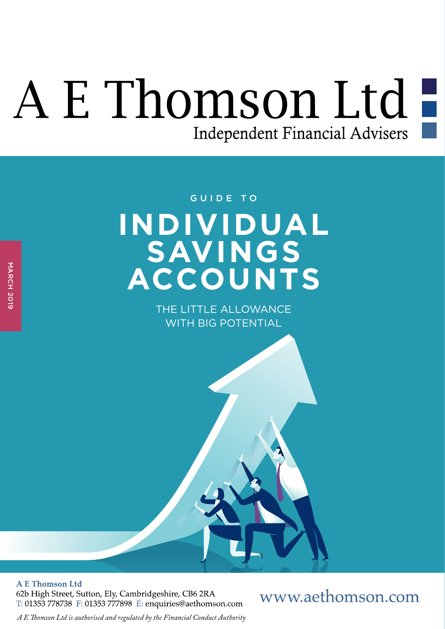# A E Thomson Ltd-Independent Financial Advisers

## **INDIVIDUAL SAVINGS ACCOUNTS** GUIDE TO

THE LITTLE ALLOWANCE WITH BIG POTENTIAL

**A E Thomson Ltd** 

62b High Street, Sutton, Ely, Cambridgeshire, CB6 2RA T: 01353 778738 F: 01353 777898 E: enquiries@aethomson.com

### www.aethomson.com

*A E Tomson Ltd is authorised and regulated by the Financial Conduct Authority*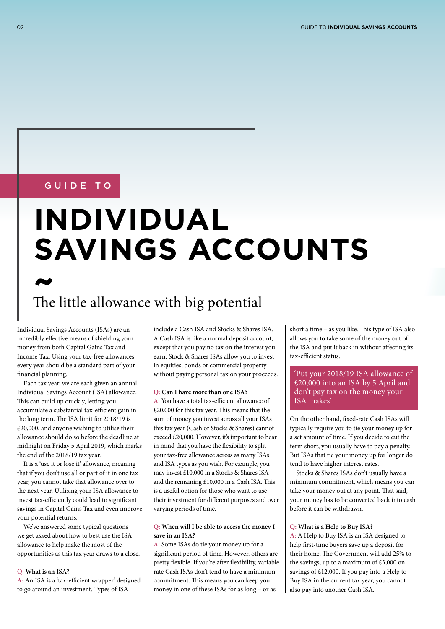#### GUIDE TO

# **INDIVIDUAL SAVINGS ACCOUNTS**

## The little allowance with big potential **~**

Individual Savings Accounts (ISAs) are an incredibly efective means of shielding your money from both Capital Gains Tax and Income Tax. Using your tax-free allowances every year should be a standard part of your fnancial planning.

Each tax year, we are each given an annual Individual Savings Account (ISA) allowance. This can build up quickly, letting you accumulate a substantial tax-efficient gain in the long term. The ISA limit for 2018/19 is £20,000, and anyone wishing to utilise their allowance should do so before the deadline at midnight on Friday 5 April 2019, which marks the end of the 2018/19 tax year.

It is a 'use it or lose it' allowance, meaning that if you don't use all or part of it in one tax year, you cannot take that allowance over to the next year. Utilising your ISA allowance to invest tax-efficiently could lead to significant savings in Capital Gains Tax and even improve your potential returns.

We've answered some typical questions we get asked about how to best use the ISA allowance to help make the most of the opportunities as this tax year draws to a close.

#### **Q: What is an ISA?**

A: An ISA is a 'tax-efficient wrapper' designed to go around an investment. Types of ISA

include a Cash ISA and Stocks & Shares ISA. A Cash ISA is like a normal deposit account, except that you pay no tax on the interest you earn. Stock & Shares ISAs allow you to invest in equities, bonds or commercial property without paying personal tax on your proceeds.

#### **Q: Can I have more than one ISA?**

A: You have a total tax-efficient allowance of  $£20,000$  for this tax year. This means that the sum of money you invest across all your ISAs this tax year (Cash or Stocks & Shares) cannot exceed £20,000. However, it's important to bear in mind that you have the fexibility to split your tax-free allowance across as many ISAs and ISA types as you wish. For example, you may invest £10,000 in a Stocks & Shares ISA and the remaining  $£10,000$  in a Cash ISA. This is a useful option for those who want to use their investment for diferent purposes and over varying periods of time.

#### **Q: When will I be able to access the money I save in an ISA?**

**A:** Some ISAs do tie your money up for a signifcant period of time. However, others are pretty fexible. If you're afer fexibility, variable rate Cash ISAs don't tend to have a minimum commitment. This means you can keep your money in one of these ISAs for as long – or as

short a time - as you like. This type of ISA also allows you to take some of the money out of the ISA and put it back in without afecting its tax-efficient status.

#### 'Put your 2018/19 ISA allowance of £20,000 into an ISA by 5 April and don't pay tax on the money your ISA makes'

On the other hand, fxed-rate Cash ISAs will typically require you to tie your money up for a set amount of time. If you decide to cut the term short, you usually have to pay a penalty. But ISAs that tie your money up for longer do tend to have higher interest rates.

Stocks & Shares ISAs don't usually have a minimum commitment, which means you can take your money out at any point. That said, your money has to be converted back into cash before it can be withdrawn.

#### **Q: What is a Help to Buy ISA?**

**A:** A Help to Buy ISA is an ISA designed to help frst-time buyers save up a deposit for their home. The Government will add 25% to the savings, up to a maximum of £3,000 on savings of £12,000. If you pay into a Help to Buy ISA in the current tax year, you cannot also pay into another Cash ISA.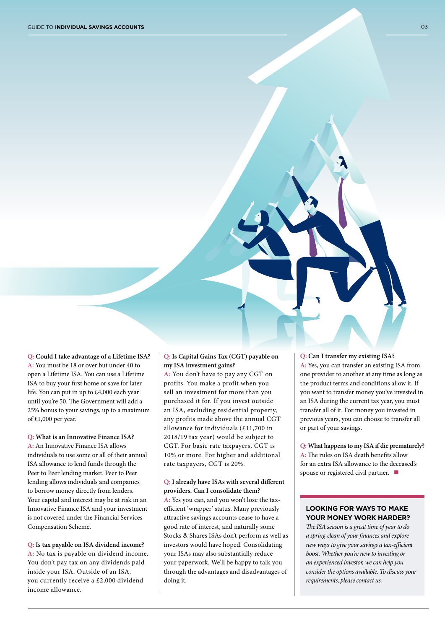**Q: Could I take advantage of a Lifetime ISA? A:** You must be 18 or over but under 40 to open a Lifetime ISA. You can use a Lifetime ISA to buy your frst home or save for later life. You can put in up to £4,000 each year until you're 50. The Government will add a 25% bonus to your savings, up to a maximum of £1,000 per year.

**Q: What is an Innovative Finance ISA? A:** An Innovative Finance ISA allows individuals to use some or all of their annual ISA allowance to lend funds through the Peer to Peer lending market. Peer to Peer lending allows individuals and companies to borrow money directly from lenders. Your capital and interest may be at risk in an Innovative Finance ISA and your investment is not covered under the Financial Services Compensation Scheme.

**Q: Is tax payable on ISA dividend income? A:** No tax is payable on dividend income. You don't pay tax on any dividends paid inside your ISA. Outside of an ISA, you currently receive a £2,000 dividend income allowance.

#### **Q: Is Capital Gains Tax (CGT) payable on my ISA investment gains?**

**A:** You don't have to pay any CGT on profits. You make a profit when you sell an investment for more than you purchased it for. If you invest outside an ISA, excluding residential property, any profits made above the annual CGT allowance for individuals (£11,700 in 2018/19 tax year) would be subject to CGT. For basic rate taxpayers, CGT is 10% or more. For higher and additional rate taxpayers, CGT is 20%.

#### **Q: I already have ISAs with several diferent providers. Can I consolidate them?**

**A:** Yes you can, and you won't lose the taxefficient 'wrapper' status. Many previously attractive savings accounts cease to have a good rate of interest, and naturally some Stocks & Shares ISAs don't perform as well as investors would have hoped. Consolidating your ISAs may also substantially reduce your paperwork. We'll be happy to talk you through the advantages and disadvantages of doing it.

**Q: Can I transfer my existing ISA? A:** Yes, you can transfer an existing ISA from one provider to another at any time as long as the product terms and conditions allow it. If you want to transfer money you've invested in an ISA during the current tax year, you must transfer all of it. For money you invested in previous years, you can choose to transfer all or part of your savings.

**Q: What happens to my ISA if die prematurely?** A: The rules on ISA death benefits allow for an extra ISA allowance to the deceased's spouse or registered civil partner.  $\blacksquare$ 

#### **LOOKING FOR WAYS TO MAKE YOUR MONEY WORK HARDER?**

T*e ISA season is a great time of year to do a spring-clean of your* f*nances and explore new ways to give your savings a tax-e*f*cient boost. Whether you're new to investing or an experienced investor, we can help you consider the options available. To discuss your requirements, please contact us.*